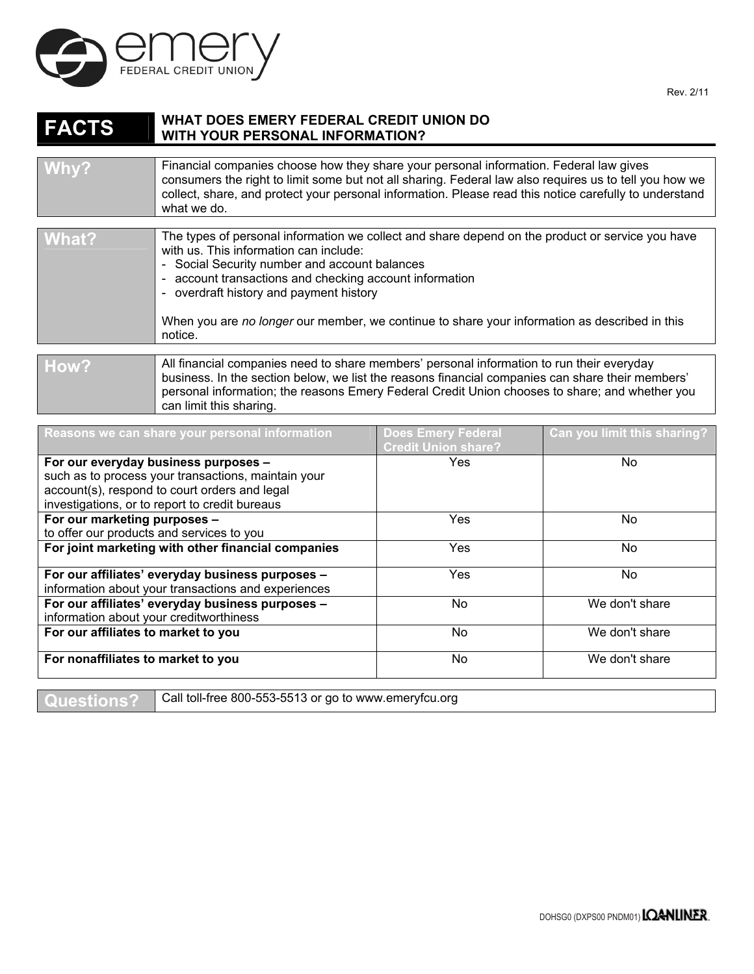

## **FACTS** WHAT DOES EMERY FEDERAL CREDIT UNION DO WITH YOUR PERSONAL INFORMATION? **WITH YOUR PERSONAL INFORMATION?**

| Why?        | Financial companies choose how they share your personal information. Federal law gives<br>consumers the right to limit some but not all sharing. Federal law also requires us to tell you how we<br>collect, share, and protect your personal information. Please read this notice carefully to understand<br>what we do. |
|-------------|---------------------------------------------------------------------------------------------------------------------------------------------------------------------------------------------------------------------------------------------------------------------------------------------------------------------------|
|             |                                                                                                                                                                                                                                                                                                                           |
| $1111 - 12$ | The types of personal information we collect and share depend on the product or service you have                                                                                                                                                                                                                          |

| i wnat <i>t</i> | The types of personal implifiation we collect and share depend on the product of service you have<br>with us. This information can include:<br>- Social Security number and account balances<br>- account transactions and checking account information<br>- overdraft history and payment history<br>When you are no longer our member, we continue to share your information as described in this<br>notice. |
|-----------------|----------------------------------------------------------------------------------------------------------------------------------------------------------------------------------------------------------------------------------------------------------------------------------------------------------------------------------------------------------------------------------------------------------------|
|                 |                                                                                                                                                                                                                                                                                                                                                                                                                |
| How?            | All financial companies need to share members' personal information to run their everyday<br>business. In the section below, we list the reasons financial companies can share their members'<br>personal information; the reasons Emery Federal Credit Union chooses to share; and whether you<br>can limit this sharing.                                                                                     |

| Reasons we can share your personal information      | <b>Does Emery Federal</b><br><b>Credit Union share?</b> | Can you limit this sharing? |
|-----------------------------------------------------|---------------------------------------------------------|-----------------------------|
| For our everyday business purposes -                | Yes                                                     | No                          |
| such as to process your transactions, maintain your |                                                         |                             |
| account(s), respond to court orders and legal       |                                                         |                             |
| investigations, or to report to credit bureaus      |                                                         |                             |
| For our marketing purposes -                        | <b>Yes</b>                                              | No.                         |
| to offer our products and services to you           |                                                         |                             |
| For joint marketing with other financial companies  | Yes                                                     | No.                         |
| For our affiliates' everyday business purposes -    | <b>Yes</b>                                              | No.                         |
| information about your transactions and experiences |                                                         |                             |
| For our affiliates' everyday business purposes -    | No                                                      | We don't share              |
| information about your creditworthiness             |                                                         |                             |
| For our affiliates to market to you                 | No                                                      | We don't share              |
| For nonaffiliates to market to you                  | No                                                      | We don't share              |

**Questions?** Call toll-free 800-553-5513 or go to www.emeryfcu.org

Rev. 2/11